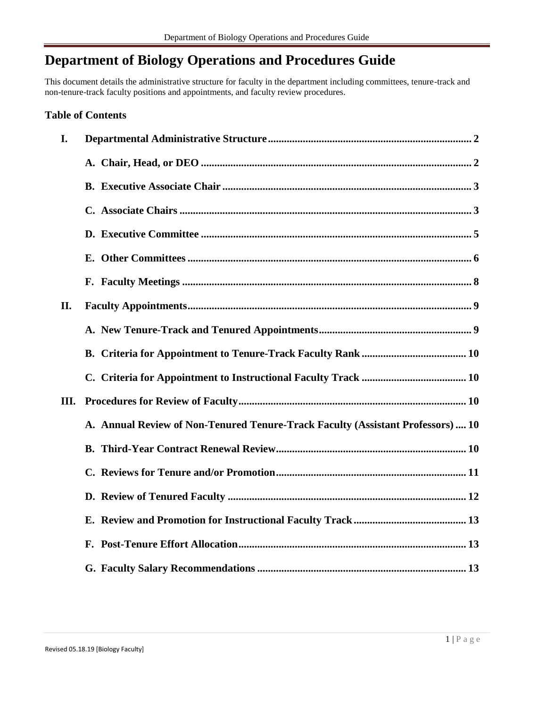# **Department of Biology Operations and Procedures Guide**

This document details the administrative structure for faculty in the department including committees, tenure-track and non-tenure-track faculty positions and appointments, and faculty review procedures.

# **Table of Contents**

| I.   |                                                                                 |
|------|---------------------------------------------------------------------------------|
|      |                                                                                 |
|      |                                                                                 |
|      |                                                                                 |
|      |                                                                                 |
|      |                                                                                 |
|      |                                                                                 |
| II.  |                                                                                 |
|      |                                                                                 |
|      |                                                                                 |
|      |                                                                                 |
| III. |                                                                                 |
|      | A. Annual Review of Non-Tenured Tenure-Track Faculty (Assistant Professors)  10 |
|      |                                                                                 |
|      |                                                                                 |
|      |                                                                                 |
|      |                                                                                 |
|      |                                                                                 |
|      |                                                                                 |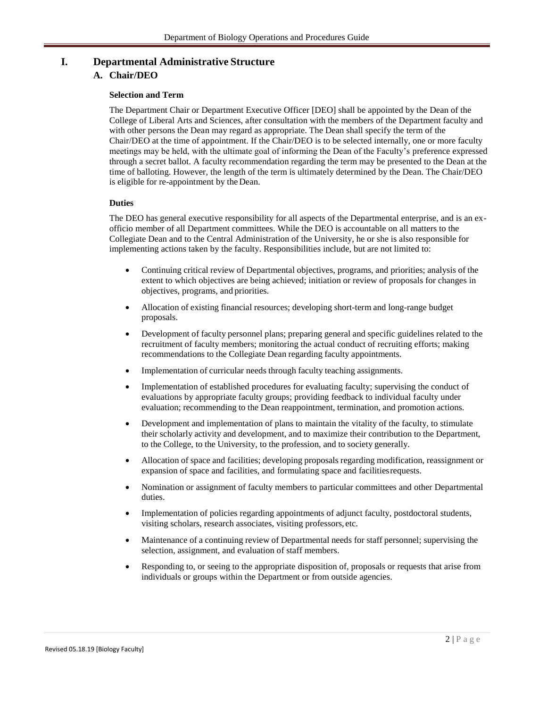# **I. Departmental Administrative Structure**

# **A. Chair/DEO**

## **Selection and Term**

The Department Chair or Department Executive Officer [DEO] shall be appointed by the Dean of the College of Liberal Arts and Sciences, after consultation with the members of the Department faculty and with other persons the Dean may regard as appropriate. The Dean shall specify the term of the Chair/DEO at the time of appointment. If the Chair/DEO is to be selected internally, one or more faculty meetings may be held, with the ultimate goal of informing the Dean of the Faculty's preference expressed through a secret ballot. A faculty recommendation regarding the term may be presented to the Dean at the time of balloting. However, the length of the term is ultimately determined by the Dean. The Chair/DEO is eligible for re-appointment by the Dean.

## **Duties**

The DEO has general executive responsibility for all aspects of the Departmental enterprise, and is an exofficio member of all Department committees. While the DEO is accountable on all matters to the Collegiate Dean and to the Central Administration of the University, he or she is also responsible for implementing actions taken by the faculty. Responsibilities include, but are not limited to:

- Continuing critical review of Departmental objectives, programs, and priorities; analysis of the extent to which objectives are being achieved; initiation or review of proposals for changes in objectives, programs, and priorities.
- Allocation of existing financial resources; developing short-term and long-range budget proposals.
- Development of faculty personnel plans; preparing general and specific guidelines related to the recruitment of faculty members; monitoring the actual conduct of recruiting efforts; making recommendations to the Collegiate Dean regarding faculty appointments.
- Implementation of curricular needs through faculty teaching assignments.
- Implementation of established procedures for evaluating faculty; supervising the conduct of evaluations by appropriate faculty groups; providing feedback to individual faculty under evaluation; recommending to the Dean reappointment, termination, and promotion actions.
- Development and implementation of plans to maintain the vitality of the faculty, to stimulate their scholarly activity and development, and to maximize their contribution to the Department, to the College, to the University, to the profession, and to society generally.
- Allocation of space and facilities; developing proposals regarding modification, reassignment or expansion of space and facilities, and formulating space and facilitiesrequests.
- Nomination or assignment of faculty members to particular committees and other Departmental duties.
- Implementation of policies regarding appointments of adjunct faculty, postdoctoral students, visiting scholars, research associates, visiting professors, etc.
- Maintenance of a continuing review of Departmental needs for staff personnel; supervising the selection, assignment, and evaluation of staff members.
- Responding to, or seeing to the appropriate disposition of, proposals or requests that arise from individuals or groups within the Department or from outside agencies.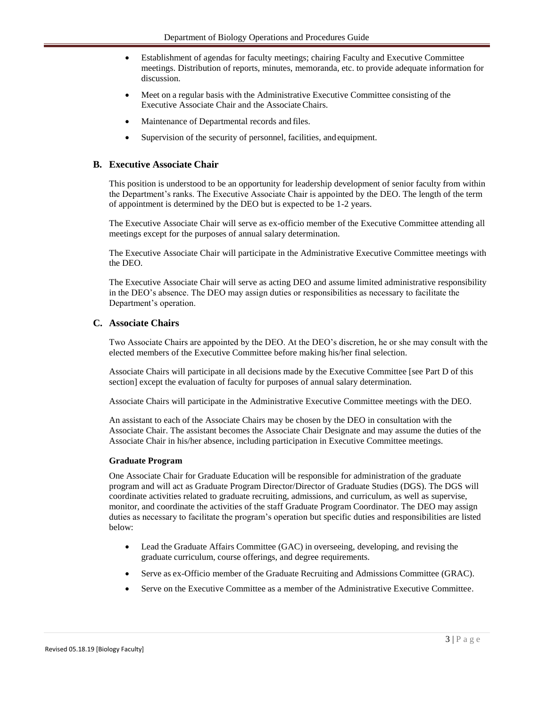- Establishment of agendas for faculty meetings; chairing Faculty and Executive Committee meetings. Distribution of reports, minutes, memoranda, etc. to provide adequate information for discussion.
- Meet on a regular basis with the Administrative Executive Committee consisting of the Executive Associate Chair and the Associate Chairs.
- Maintenance of Departmental records and files.
- Supervision of the security of personnel, facilities, and equipment.

# <span id="page-2-0"></span>**B. Executive Associate Chair**

This position is understood to be an opportunity for leadership development of senior faculty from within the Department's ranks. The Executive Associate Chair is appointed by the DEO. The length of the term of appointment is determined by the DEO but is expected to be 1-2 years.

The Executive Associate Chair will serve as ex-officio member of the Executive Committee attending all meetings except for the purposes of annual salary determination.

The Executive Associate Chair will participate in the Administrative Executive Committee meetings with the DEO.

The Executive Associate Chair will serve as acting DEO and assume limited administrative responsibility in the DEO's absence. The DEO may assign duties or responsibilities as necessary to facilitate the Department's operation.

## **C. Associate Chairs**

Two Associate Chairs are appointed by the DEO. At the DEO's discretion, he or she may consult with the elected members of the Executive Committee before making his/her final selection.

Associate Chairs will participate in all decisions made by the Executive Committee [see Part D of this section] except the evaluation of faculty for purposes of annual salary determination.

Associate Chairs will participate in the Administrative Executive Committee meetings with the DEO.

An assistant to each of the Associate Chairs may be chosen by the DEO in consultation with the Associate Chair. The assistant becomes the Associate Chair Designate and may assume the duties of the Associate Chair in his/her absence, including participation in Executive Committee meetings.

#### **Graduate Program**

One Associate Chair for Graduate Education will be responsible for administration of the graduate program and will act as Graduate Program Director/Director of Graduate Studies (DGS). The DGS will coordinate activities related to graduate recruiting, admissions, and curriculum, as well as supervise, monitor, and coordinate the activities of the staff Graduate Program Coordinator. The DEO may assign duties as necessary to facilitate the program's operation but specific duties and responsibilities are listed below:

- Lead the Graduate Affairs Committee (GAC) in overseeing, developing, and revising the graduate curriculum, course offerings, and degree requirements.
- Serve as ex-Officio member of the Graduate Recruiting and Admissions Committee (GRAC).
- Serve on the Executive Committee as a member of the Administrative Executive Committee.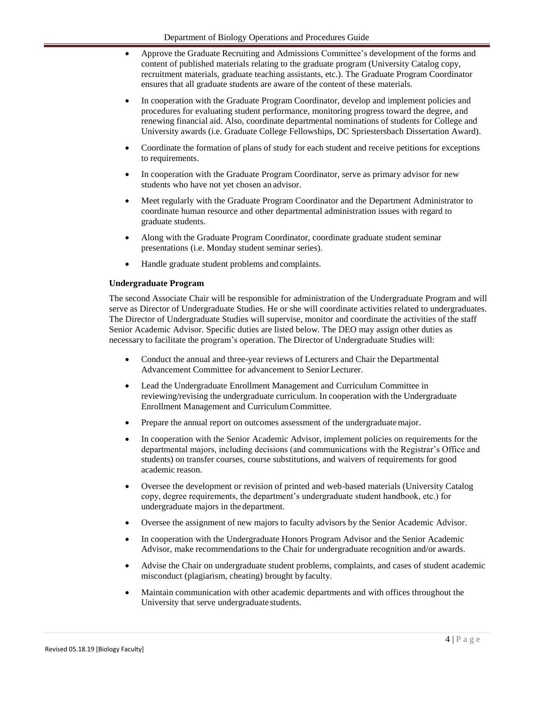- Approve the Graduate Recruiting and Admissions Committee's development of the forms and content of published materials relating to the graduate program (University Catalog copy, recruitment materials, graduate teaching assistants, etc.). The Graduate Program Coordinator ensures that all graduate students are aware of the content of these materials.
- In cooperation with the Graduate Program Coordinator, develop and implement policies and procedures for evaluating student performance, monitoring progress toward the degree, and renewing financial aid. Also, coordinate departmental nominations of students for College and University awards (i.e. Graduate College Fellowships, DC Spriestersbach Dissertation Award).
- Coordinate the formation of plans of study for each student and receive petitions for exceptions to requirements.
- In cooperation with the Graduate Program Coordinator, serve as primary advisor for new students who have not yet chosen an advisor.
- Meet regularly with the Graduate Program Coordinator and the Department Administrator to coordinate human resource and other departmental administration issues with regard to graduate students.
- Along with the Graduate Program Coordinator, coordinate graduate student seminar presentations (i.e. Monday student seminar series).
- Handle graduate student problems and complaints.

# **Undergraduate Program**

The second Associate Chair will be responsible for administration of the Undergraduate Program and will serve as Director of Undergraduate Studies. He or she will coordinate activities related to undergraduates. The Director of Undergraduate Studies will supervise, monitor and coordinate the activities of the staff Senior Academic Advisor. Specific duties are listed below. The DEO may assign other duties as necessary to facilitate the program's operation. The Director of Undergraduate Studies will:

- Conduct the annual and three-year reviews of Lecturers and Chair the Departmental Advancement Committee for advancement to Senior Lecturer.
- Lead the Undergraduate Enrollment Management and Curriculum Committee in reviewing/revising the undergraduate curriculum. In cooperation with the Undergraduate Enrollment Management and CurriculumCommittee.
- Prepare the annual report on outcomes assessment of the undergraduate major.
- In cooperation with the Senior Academic Advisor, implement policies on requirements for the departmental majors, including decisions (and communications with the Registrar's Office and students) on transfer courses, course substitutions, and waivers of requirements for good academic reason.
- Oversee the development or revision of printed and web-based materials (University Catalog copy, degree requirements, the department's undergraduate student handbook, etc.) for undergraduate majors in the department.
- Oversee the assignment of new majors to faculty advisors by the Senior Academic Advisor.
- In cooperation with the Undergraduate Honors Program Advisor and the Senior Academic Advisor, make recommendations to the Chair for undergraduate recognition and/or awards.
- Advise the Chair on undergraduate student problems, complaints, and cases of student academic misconduct (plagiarism, cheating) brought by faculty.
- Maintain communication with other academic departments and with offices throughout the University that serve undergraduate students.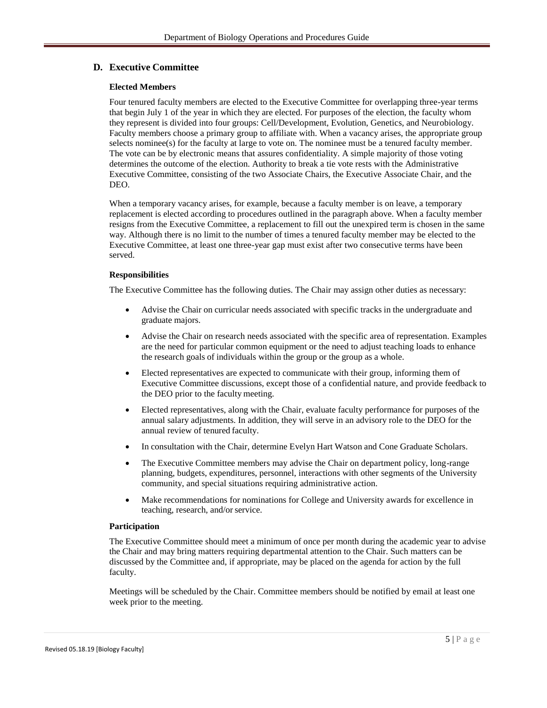# **D. Executive Committee**

#### **Elected Members**

Four tenured faculty members are elected to the Executive Committee for overlapping three-year terms that begin July 1 of the year in which they are elected. For purposes of the election, the faculty whom they represent is divided into four groups: Cell/Development, Evolution, Genetics, and Neurobiology. Faculty members choose a primary group to affiliate with. When a vacancy arises, the appropriate group selects nominee(s) for the faculty at large to vote on. The nominee must be a tenured faculty member. The vote can be by electronic means that assures confidentiality. A simple majority of those voting determines the outcome of the election. Authority to break a tie vote rests with the Administrative Executive Committee, consisting of the two Associate Chairs, the Executive Associate Chair, and the DEO.

When a temporary vacancy arises, for example, because a faculty member is on leave, a temporary replacement is elected according to procedures outlined in the paragraph above. When a faculty member resigns from the Executive Committee, a replacement to fill out the unexpired term is chosen in the same way. Although there is no limit to the number of times a tenured faculty member may be elected to the Executive Committee, at least one three-year gap must exist after two consecutive terms have been served.

## **Responsibilities**

The Executive Committee has the following duties. The Chair may assign other duties as necessary:

- Advise the Chair on curricular needs associated with specific tracks in the undergraduate and graduate majors.
- Advise the Chair on research needs associated with the specific area of representation. Examples are the need for particular common equipment or the need to adjust teaching loads to enhance the research goals of individuals within the group or the group as a whole.
- Elected representatives are expected to communicate with their group, informing them of Executive Committee discussions, except those of a confidential nature, and provide feedback to the DEO prior to the faculty meeting.
- Elected representatives, along with the Chair, evaluate faculty performance for purposes of the annual salary adjustments. In addition, they will serve in an advisory role to the DEO for the annual review of tenured faculty.
- In consultation with the Chair, determine Evelyn Hart Watson and Cone Graduate Scholars.
- The Executive Committee members may advise the Chair on department policy, long-range planning, budgets, expenditures, personnel, interactions with other segments of the University community, and special situations requiring administrative action.
- Make recommendations for nominations for College and University awards for excellence in teaching, research, and/or service.

#### **Participation**

The Executive Committee should meet a minimum of once per month during the academic year to advise the Chair and may bring matters requiring departmental attention to the Chair. Such matters can be discussed by the Committee and, if appropriate, may be placed on the agenda for action by the full faculty.

Meetings will be scheduled by the Chair. Committee members should be notified by email at least one week prior to the meeting.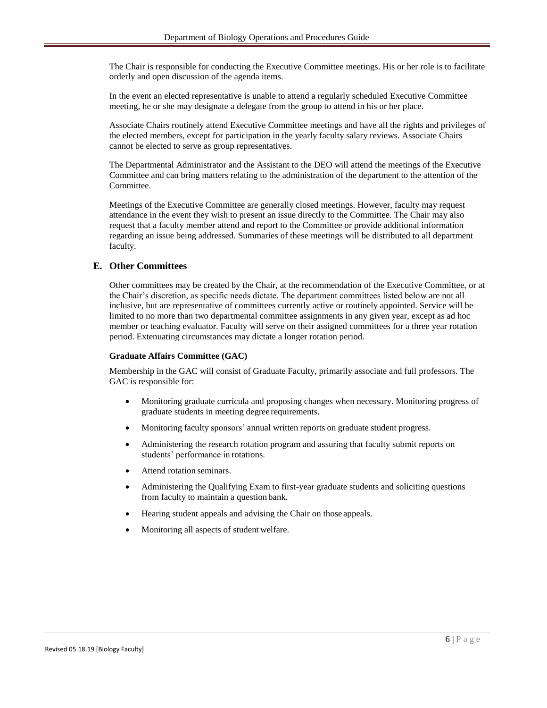The Chair is responsible for conducting the Executive Committee meetings. His or her role is to facilitate orderly and open discussion of the agenda items.

In the event an elected representative is unable to attend a regularly scheduled Executive Committee meeting, he or she may designate a delegate from the group to attend in his or her place.

Associate Chairs routinely attend Executive Committee meetings and have all the rights and privileges of the elected members, except for participation in the yearly faculty salary reviews. Associate Chairs cannot be elected to serve as group representatives.

The Departmental Administrator and the Assistant to the DEO will attend the meetings of the Executive Committee and can bring matters relating to the administration of the department to the attention of the Committee.

Meetings of the Executive Committee are generally closed meetings. However, faculty may request attendance in the event they wish to present an issue directly to the Committee. The Chair may also request that a faculty member attend and report to the Committee or provide additional information regarding an issue being addressed. Summaries of these meetings will be distributed to all department faculty.

## **E. Other Committees**

Other committees may be created by the Chair, at the recommendation of the Executive Committee, or at the Chair's discretion, as specific needs dictate. The department committees listed below are not all inclusive, but are representative of committees currently active or routinely appointed. Service will be limited to no more than two departmental committee assignments in any given year, except as ad hoc member or teaching evaluator. Faculty will serve on their assigned committees for a three year rotation period. Extenuating circumstances may dictate a longer rotation period.

#### **Graduate Affairs Committee (GAC)**

Membership in the GAC will consist of Graduate Faculty, primarily associate and full professors. The GAC is responsible for:

- Monitoring graduate curricula and proposing changes when necessary. Monitoring progress of graduate students in meeting degree requirements.
- Monitoring faculty sponsors' annual written reports on graduate student progress.
- Administering the research rotation program and assuring that faculty submit reports on students' performance in rotations.
- Attend rotation seminars.
- Administering the Qualifying Exam to first-year graduate students and soliciting questions from faculty to maintain a question bank.
- Hearing student appeals and advising the Chair on those appeals.
- Monitoring all aspects of student welfare.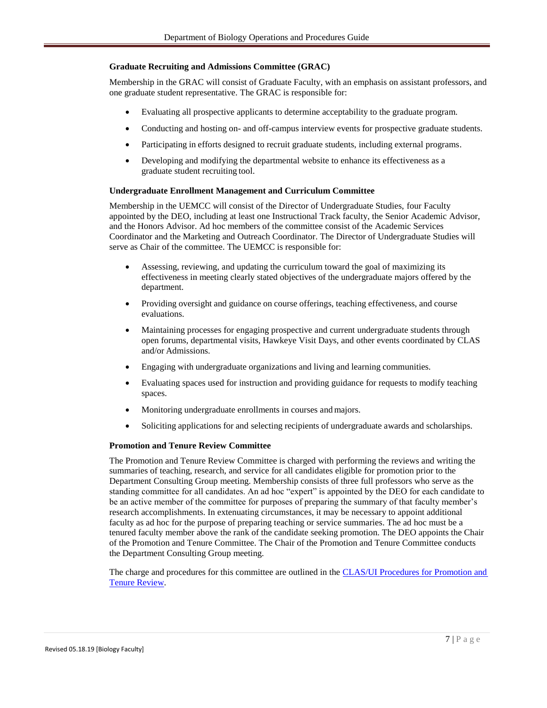#### **Graduate Recruiting and Admissions Committee (GRAC)**

Membership in the GRAC will consist of Graduate Faculty, with an emphasis on assistant professors, and one graduate student representative. The GRAC is responsible for:

- Evaluating all prospective applicants to determine acceptability to the graduate program.
- Conducting and hosting on- and off-campus interview events for prospective graduate students.
- Participating in efforts designed to recruit graduate students, including external programs.
- Developing and modifying the departmental website to enhance its effectiveness as a graduate student recruiting tool.

#### **Undergraduate Enrollment Management and Curriculum Committee**

Membership in the UEMCC will consist of the Director of Undergraduate Studies, four Faculty appointed by the DEO, including at least one Instructional Track faculty, the Senior Academic Advisor, and the Honors Advisor. Ad hoc members of the committee consist of the Academic Services Coordinator and the Marketing and Outreach Coordinator. The Director of Undergraduate Studies will serve as Chair of the committee. The UEMCC is responsible for:

- Assessing, reviewing, and updating the curriculum toward the goal of maximizing its effectiveness in meeting clearly stated objectives of the undergraduate majors offered by the department.
- Providing oversight and guidance on course offerings, teaching effectiveness, and course evaluations.
- Maintaining processes for engaging prospective and current undergraduate students through open forums, departmental visits, Hawkeye Visit Days, and other events coordinated by CLAS and/or Admissions.
- Engaging with undergraduate organizations and living and learning communities.
- Evaluating spaces used for instruction and providing guidance for requests to modify teaching spaces.
- Monitoring undergraduate enrollments in courses and majors.
- Soliciting applications for and selecting recipients of undergraduate awards and scholarships.

#### **Promotion and Tenure Review Committee**

The Promotion and Tenure Review Committee is charged with performing the reviews and writing the summaries of teaching, research, and service for all candidates eligible for promotion prior to the Department Consulting Group meeting. Membership consists of three full professors who serve as the standing committee for all candidates. An ad hoc "expert" is appointed by the DEO for each candidate to be an active member of the committee for purposes of preparing the summary of that faculty member's research accomplishments. In extenuating circumstances, it may be necessary to appoint additional faculty as ad hoc for the purpose of preparing teaching or service summaries. The ad hoc must be a tenured faculty member above the rank of the candidate seeking promotion. The DEO appoints the Chair of the Promotion and Tenure Committee. The Chair of the Promotion and Tenure Committee conducts the Department Consulting Group meeting.

The charge and procedures for this committee are outlined in the [CLAS/UI Procedures for](http://www.clas.uiowa.edu/faculty/faculty-appointments-review-clasui-procedures-promotion-and-tenure-decision-making) Promotion and [Tenure Review.](http://www.clas.uiowa.edu/faculty/faculty-appointments-review-clasui-procedures-promotion-and-tenure-decision-making)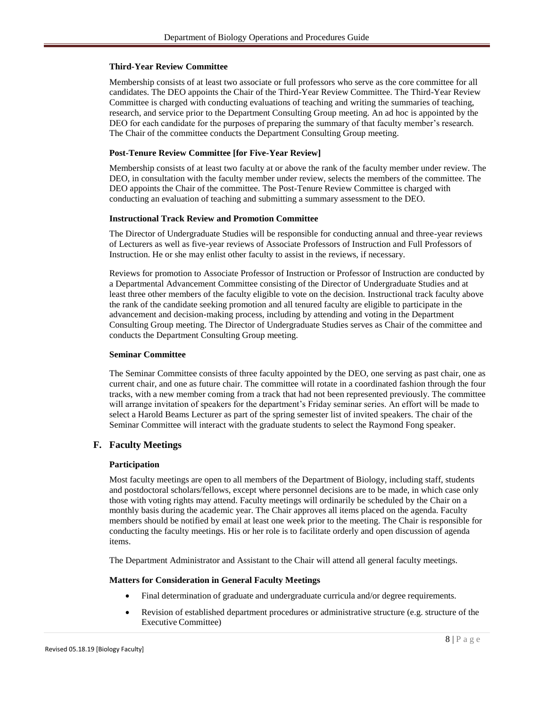#### **Third-Year Review Committee**

Membership consists of at least two associate or full professors who serve as the core committee for all candidates. The DEO appoints the Chair of the Third-Year Review Committee. The Third-Year Review Committee is charged with conducting evaluations of teaching and writing the summaries of teaching, research, and service prior to the Department Consulting Group meeting. An ad hoc is appointed by the DEO for each candidate for the purposes of preparing the summary of that faculty member's research. The Chair of the committee conducts the Department Consulting Group meeting.

# **Post-Tenure Review Committee [for Five-Year Review]**

Membership consists of at least two faculty at or above the rank of the faculty member under review. The DEO, in consultation with the faculty member under review, selects the members of the committee. The DEO appoints the Chair of the committee. The Post-Tenure Review Committee is charged with conducting an evaluation of teaching and submitting a summary assessment to the DEO.

## **Instructional Track Review and Promotion Committee**

The Director of Undergraduate Studies will be responsible for conducting annual and three-year reviews of Lecturers as well as five-year reviews of Associate Professors of Instruction and Full Professors of Instruction. He or she may enlist other faculty to assist in the reviews, if necessary.

Reviews for promotion to Associate Professor of Instruction or Professor of Instruction are conducted by a Departmental Advancement Committee consisting of the Director of Undergraduate Studies and at least three other members of the faculty eligible to vote on the decision. Instructional track faculty above the rank of the candidate seeking promotion and all tenured faculty are eligible to participate in the advancement and decision-making process, including by attending and voting in the Department Consulting Group meeting. The Director of Undergraduate Studies serves as Chair of the committee and conducts the Department Consulting Group meeting.

#### **Seminar Committee**

The Seminar Committee consists of three faculty appointed by the DEO, one serving as past chair, one as current chair, and one as future chair. The committee will rotate in a coordinated fashion through the four tracks, with a new member coming from a track that had not been represented previously. The committee will arrange invitation of speakers for the department's Friday seminar series. An effort will be made to select a Harold Beams Lecturer as part of the spring semester list of invited speakers. The chair of the Seminar Committee will interact with the graduate students to select the Raymond Fong speaker.

# **F. Faculty Meetings**

#### **Participation**

Most faculty meetings are open to all members of the Department of Biology, including staff, students and postdoctoral scholars/fellows, except where personnel decisions are to be made, in which case only those with voting rights may attend. Faculty meetings will ordinarily be scheduled by the Chair on a monthly basis during the academic year. The Chair approves all items placed on the agenda. Faculty members should be notified by email at least one week prior to the meeting. The Chair is responsible for conducting the faculty meetings. His or her role is to facilitate orderly and open discussion of agenda items.

The Department Administrator and Assistant to the Chair will attend all general faculty meetings.

# **Matters for Consideration in General Faculty Meetings**

- Final determination of graduate and undergraduate curricula and/or degree requirements.
- Revision of established department procedures or administrative structure (e.g. structure of the Executive Committee)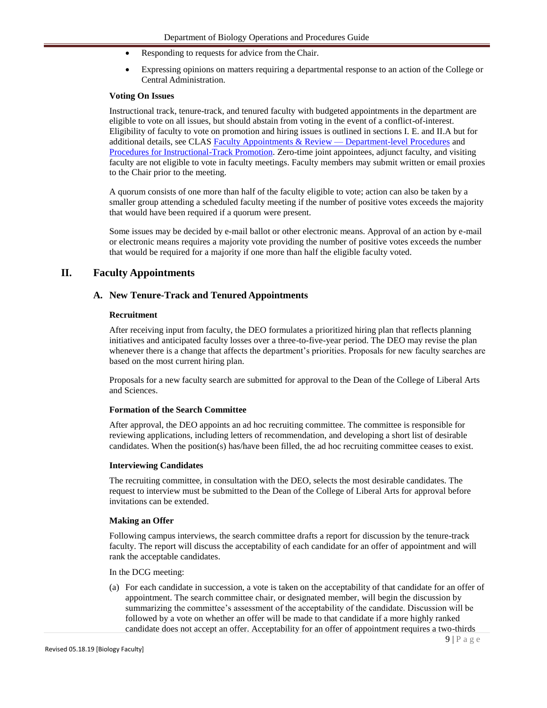- Responding to requests for advice from the Chair.
- Expressing opinions on matters requiring a departmental response to an action of the College or Central Administration.

#### **Voting On Issues**

Instructional track, tenure-track, and tenured faculty with budgeted appointments in the department are eligible to vote on all issues, but should abstain from voting in the event of a conflict-of-interest. Eligibility of faculty to vote on promotion and hiring issues is outlined in sections I. E. and II.A but for additional details, see CLAS Faculty Appointments & Review - Department-level Procedures and [Procedures for Instructional-Track Promotion.](https://clas.uiowa.edu/faculty/faculty-appointments-review-clasui-procedures-instructional-track-promotion) Zero-time joint appointees, adjunct faculty, and visiting faculty are not eligible to vote in faculty meetings. Faculty members may submit written or email proxies to the Chair prior to the meeting.

A quorum consists of one more than half of the faculty eligible to vote; action can also be taken by a smaller group attending a scheduled faculty meeting if the number of positive votes exceeds the majority that would have been required if a quorum were present.

Some issues may be decided by e-mail ballot or other electronic means. Approval of an action by e-mail or electronic means requires a majority vote providing the number of positive votes exceeds the number that would be required for a majority if one more than half the eligible faculty voted.

# **II. Faculty Appointments**

## **A. New Tenure-Track and Tenured Appointments**

#### **Recruitment**

After receiving input from faculty, the DEO formulates a prioritized hiring plan that reflects planning initiatives and anticipated faculty losses over a three-to-five-year period. The DEO may revise the plan whenever there is a change that affects the department's priorities. Proposals for new faculty searches are based on the most current hiring plan.

Proposals for a new faculty search are submitted for approval to the Dean of the College of Liberal Arts and Sciences.

#### **Formation of the Search Committee**

After approval, the DEO appoints an ad hoc recruiting committee. The committee is responsible for reviewing applications, including letters of recommendation, and developing a short list of desirable candidates. When the position(s) has/have been filled, the ad hoc recruiting committee ceases to exist.

#### **Interviewing Candidates**

The recruiting committee, in consultation with the DEO, selects the most desirable candidates. The request to interview must be submitted to the Dean of the College of Liberal Arts for approval before invitations can be extended.

#### **Making an Offer**

Following campus interviews, the search committee drafts a report for discussion by the tenure-track faculty. The report will discuss the acceptability of each candidate for an offer of appointment and will rank the acceptable candidates.

In the DCG meeting:

(a) For each candidate in succession, a vote is taken on the acceptability of that candidate for an offer of appointment. The search committee chair, or designated member, will begin the discussion by summarizing the committee's assessment of the acceptability of the candidate. Discussion will be followed by a vote on whether an offer will be made to that candidate if a more highly ranked candidate does not accept an offer. Acceptability for an offer of appointment requires a two-thirds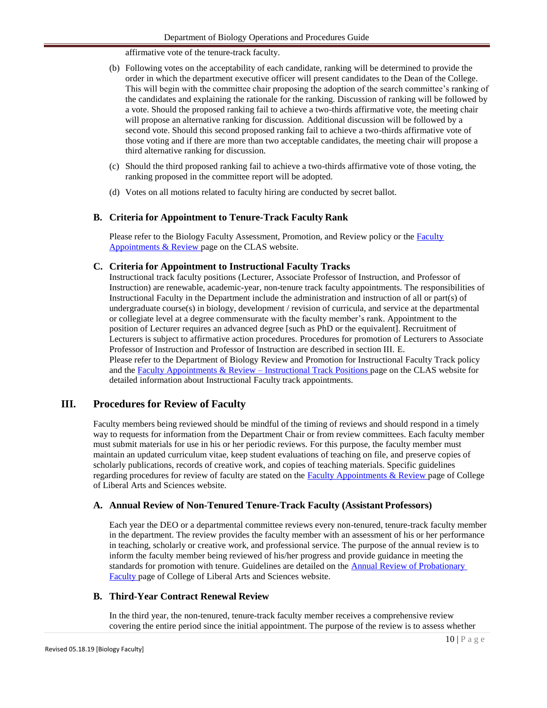affirmative vote of the tenure-track faculty.

- (b) Following votes on the acceptability of each candidate, ranking will be determined to provide the order in which the department executive officer will present candidates to the Dean of the College. This will begin with the committee chair proposing the adoption of the search committee's ranking of the candidates and explaining the rationale for the ranking. Discussion of ranking will be followed by a vote. Should the proposed ranking fail to achieve a two-thirds affirmative vote, the meeting chair will propose an alternative ranking for discussion. Additional discussion will be followed by a second vote. Should this second proposed ranking fail to achieve a two-thirds affirmative vote of those voting and if there are more than two acceptable candidates, the meeting chair will propose a third alternative ranking for discussion.
- (c) Should the third proposed ranking fail to achieve a two-thirds affirmative vote of those voting, the ranking proposed in the committee report will be adopted.
- (d) Votes on all motions related to faculty hiring are conducted by secret ballot.

## **B. Criteria for Appointment to Tenure-Track Faculty Rank**

Please refer to the Biology [Faculty](http://www.clas.uiowa.edu/faculty/faculty-appointments-review) Assessment, Promotion, and Review policy or the Faculty [Appointments & Review p](http://www.clas.uiowa.edu/faculty/faculty-appointments-review)age on the CLAS website.

## **C. Criteria for Appointment to Instructional Faculty Tracks**

Instructional track faculty positions (Lecturer, Associate Professor of Instruction, and Professor of Instruction) are renewable, academic-year, non-tenure track faculty appointments. The responsibilities of Instructional Faculty in the Department include the administration and instruction of all or part(s) of undergraduate course(s) in biology, development / revision of curricula, and service at the departmental or collegiate level at a degree commensurate with the faculty member's rank. Appointment to the position of Lecturer requires an advanced degree [such as PhD or the equivalent]. Recruitment of Lecturers is subject to affirmative action procedures. Procedures for promotion of Lecturers to Associate Professor of Instruction and Professor of Instruction are described in section III. E. Please refer to the Department of Biology Review and Promotion for Instructional Faculty Track policy and the [Faculty Appointments & Review –](http://clas.uiowa.edu/faculty/faculty-appointments-review-lecturer-positions) Instructional Track Positions page on the CLAS website for detailed information about Instructional Faculty track appointments.

# **III. Procedures for Review of Faculty**

Faculty members being reviewed should be mindful of the timing of reviews and should respond in a timely way to requests for information from the Department Chair or from review committees. Each faculty member must submit materials for use in his or her periodic reviews. For this purpose, the faculty member must maintain an updated curriculum vitae, keep student evaluations of teaching on file, and preserve copies of scholarly publications, records of creative work, and copies of teaching materials. Specific guidelines regarding procedures for review of faculty are stated on the [Faculty Appointments & Review p](http://www.clas.uiowa.edu/faculty/faculty-appointments-review)age of College of Liberal Arts and Sciences website.

#### **A. Annual Review of Non-Tenured Tenure-Track Faculty (Assistant Professors)**

Each year the DEO or a departmental committee reviews every non-tenured, tenure-track faculty member in the department. The review provides the faculty member with an assessment of his or her performance in teaching, scholarly or creative work, and professional service. The purpose of the annual review is to inform the faculty member being reviewed of his/her progress and provide guidance in meeting the standards for promotion with tenure. Guidelines are detailed on the [Annual Review of Probationary](http://clas.uiowa.edu/faculty/faculty-appointments-review-annual-review-probationary-faculty) [Faculty p](http://clas.uiowa.edu/faculty/faculty-appointments-review-annual-review-probationary-faculty)age of College of Liberal Arts and Sciences website.

#### **B. Third-Year Contract Renewal Review**

In the third year, the non-tenured, tenure-track faculty member receives a comprehensive review covering the entire period since the initial appointment. The purpose of the review is to assess whether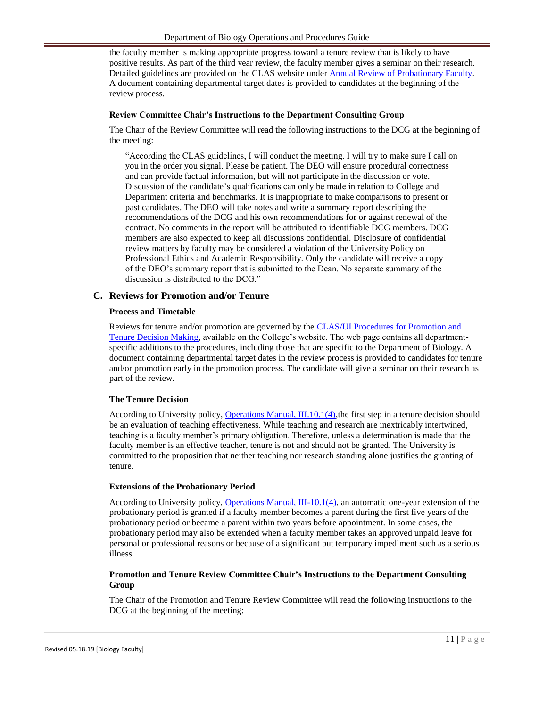the faculty member is making appropriate progress toward a tenure review that is likely to have positive results. As part of the third year review, the faculty member gives a seminar on their research. Detailed guidelines are provided on the CLAS website unde[r Annual Review of Probationary Faculty.](http://www.clas.uiowa.edu/faculty/faculty-appointments-review-annual-review-probationary-faculty) A document containing departmental target dates is provided to candidates at the beginning of the review process.

# **Review Committee Chair's Instructions to the Department Consulting Group**

The Chair of the Review Committee will read the following instructions to the DCG at the beginning of the meeting:

"According the CLAS guidelines, I will conduct the meeting. I will try to make sure I call on you in the order you signal. Please be patient. The DEO will ensure procedural correctness and can provide factual information, but will not participate in the discussion or vote. Discussion of the candidate's qualifications can only be made in relation to College and Department criteria and benchmarks. It is inappropriate to make comparisons to present or past candidates. The DEO will take notes and write a summary report describing the recommendations of the DCG and his own recommendations for or against renewal of the contract. No comments in the report will be attributed to identifiable DCG members. DCG members are also expected to keep all discussions confidential. Disclosure of confidential review matters by faculty may be considered a violation of the University Policy on Professional Ethics and Academic Responsibility. Only the candidate will receive a copy of the DEO's summary report that is submitted to the Dean. No separate summary of the discussion is distributed to the DCG."

# **C. Reviews for Promotion and/or Tenure**

#### **Process and Timetable**

Reviews for tenure and/or promotion are governed by the [CLAS/UI Procedures for Promotion and](http://www.clas.uiowa.edu/faculty/faculty-appointments-review-clasui-procedures-promotion-and-tenure-decision-making) [Tenure Decision Making,](http://www.clas.uiowa.edu/faculty/faculty-appointments-review-clasui-procedures-promotion-and-tenure-decision-making) available on the College's website. The web page contains all departmentspecific additions to the procedures, including those that are specific to the Department of Biology. A document containing departmental target dates in the review process is provided to candidates for tenure and/or promotion early in the promotion process. The candidate will give a seminar on their research as part of the review.

#### **The Tenure Decision**

According to University policy, [Operations Manual, III.10.1\(4\),t](http://www.uiowa.edu/~our/opmanual/iii/10.htm%23101)he first step in a tenure decision should be an evaluation of teaching effectiveness. While teaching and research are inextricably intertwined, teaching is a faculty member's primary obligation. Therefore, unless a determination is made that the faculty member is an effective teacher, tenure is not and should not be granted. The University is committed to the proposition that neither teaching nor research standing alone justifies the granting of tenure.

#### **Extensions of the Probationary Period**

According to University policy, [Operations Manual, III-10.1\(4\),](http://www.uiowa.edu/~our/opmanual/iii/10.htm%23101) an automatic one-year extension of the probationary period is granted if a faculty member becomes a parent during the first five years of the probationary period or became a parent within two years before appointment. In some cases, the probationary period may also be extended when a faculty member takes an approved unpaid leave for personal or professional reasons or because of a significant but temporary impediment such as a serious illness.

# **Promotion and Tenure Review Committee Chair's Instructions to the Department Consulting Group**

The Chair of the Promotion and Tenure Review Committee will read the following instructions to the DCG at the beginning of the meeting: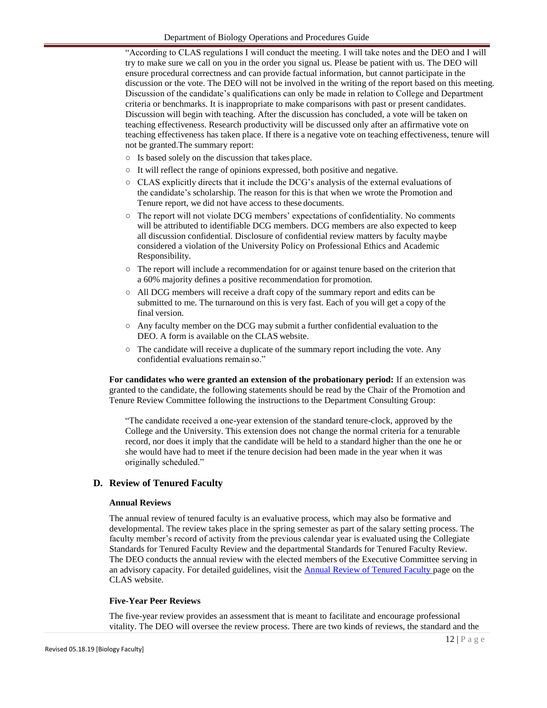"According to CLAS regulations I will conduct the meeting. I will take notes and the DEO and I will try to make sure we call on you in the order you signal us. Please be patient with us. The DEO will ensure procedural correctness and can provide factual information, but cannot participate in the discussion or the vote. The DEO will not be involved in the writing of the report based on this meeting. Discussion of the candidate's qualifications can only be made in relation to College and Department criteria or benchmarks. It is inappropriate to make comparisons with past or present candidates. Discussion will begin with teaching. After the discussion has concluded, a vote will be taken on teaching effectiveness. Research productivity will be discussed only after an affirmative vote on teaching effectiveness has taken place. If there is a negative vote on teaching effectiveness, tenure will not be granted.The summary report:

- Is based solely on the discussion that takes place.
- It will reflect the range of opinions expressed, both positive and negative.
- CLAS explicitly directs that it include the DCG's analysis of the external evaluations of the candidate's scholarship. The reason for this is that when we wrote the Promotion and Tenure report, we did not have access to these documents.
- The report will not violate DCG members' expectations of confidentiality. No comments will be attributed to identifiable DCG members. DCG members are also expected to keep all discussion confidential. Disclosure of confidential review matters by faculty maybe considered a violation of the University Policy on Professional Ethics and Academic Responsibility.
- The report will include a recommendation for or against tenure based on the criterion that a 60% majority defines a positive recommendation for promotion.
- All DCG members will receive a draft copy of the summary report and edits can be submitted to me. The turnaround on this is very fast. Each of you will get a copy of the final version.
- $\circ$  Any faculty member on the DCG may submit a further confidential evaluation to the DEO. A form is available on the CLAS website.
- $\circ$  The candidate will receive a duplicate of the summary report including the vote. Any confidential evaluations remain so."

**For candidates who were granted an extension of the probationary period:** If an extension was granted to the candidate, the following statements should be read by the Chair of the Promotion and Tenure Review Committee following the instructions to the Department Consulting Group:

"The candidate received a one-year extension of the standard tenure-clock, approved by the College and the University. This extension does not change the normal criteria for a tenurable record, nor does it imply that the candidate will be held to a standard higher than the one he or she would have had to meet if the tenure decision had been made in the year when it was originally scheduled."

## **D. Review of Tenured Faculty**

#### **Annual Reviews**

The annual review of tenured faculty is an evaluative process, which may also be formative and developmental. The review takes place in the spring semester as part of the salary setting process. The faculty member's record of activity from the previous calendar year is evaluated using the Collegiate Standards for Tenured Faculty Review and the departmental Standards for Tenured Faculty Review. The DEO conducts the annual review with the elected members of the Executive Committee serving in an advisory capacity. For detailed guidelines, visit the **Annual Review of Tenured Faculty** page on the CLAS website.

#### **Five-Year Peer Reviews**

The five-year review provides an assessment that is meant to facilitate and encourage professional vitality. The DEO will oversee the review process. There are two kinds of reviews, the standard and the